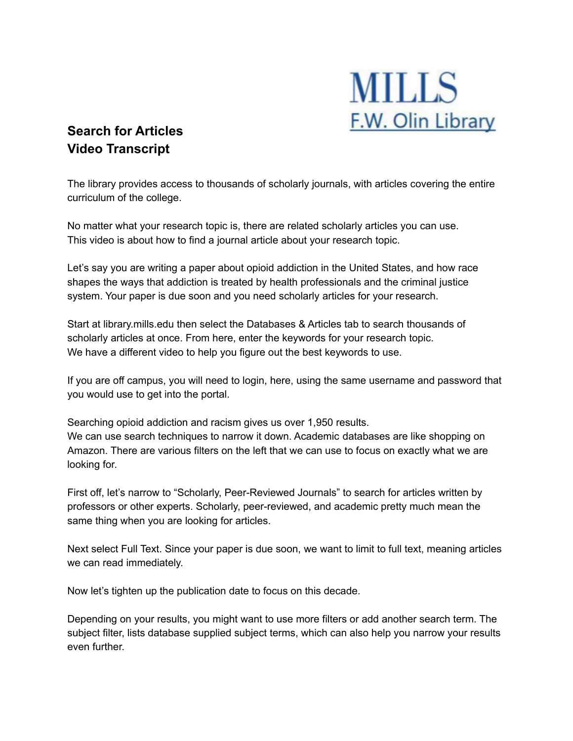

## **Search for Articles Video Transcript**

The library provides access to thousands of scholarly journals, with articles covering the entire curriculum of the college.

No matter what your research topic is, there are related scholarly articles you can use. This video is about how to find a journal article about your research topic.

Let's say you are writing a paper about opioid addiction in the United States, and how race shapes the ways that addiction is treated by health professionals and the criminal justice system. Your paper is due soon and you need scholarly articles for your research.

Start at library.mills.edu then select the Databases & Articles tab to search thousands of scholarly articles at once. From here, enter the keywords for your research topic. We have a different video to help you figure out the best keywords to use.

If you are off campus, you will need to login, here, using the same username and password that you would use to get into the portal.

Searching opioid addiction and racism gives us over 1,950 results. We can use search techniques to narrow it down. Academic databases are like shopping on Amazon. There are various filters on the left that we can use to focus on exactly what we are looking for.

First off, let's narrow to "Scholarly, Peer-Reviewed Journals" to search for articles written by professors or other experts. Scholarly, peer-reviewed, and academic pretty much mean the same thing when you are looking for articles.

Next select Full Text. Since your paper is due soon, we want to limit to full text, meaning articles we can read immediately.

Now let's tighten up the publication date to focus on this decade.

Depending on your results, you might want to use more filters or add another search term. The subject filter, lists database supplied subject terms, which can also help you narrow your results even further.